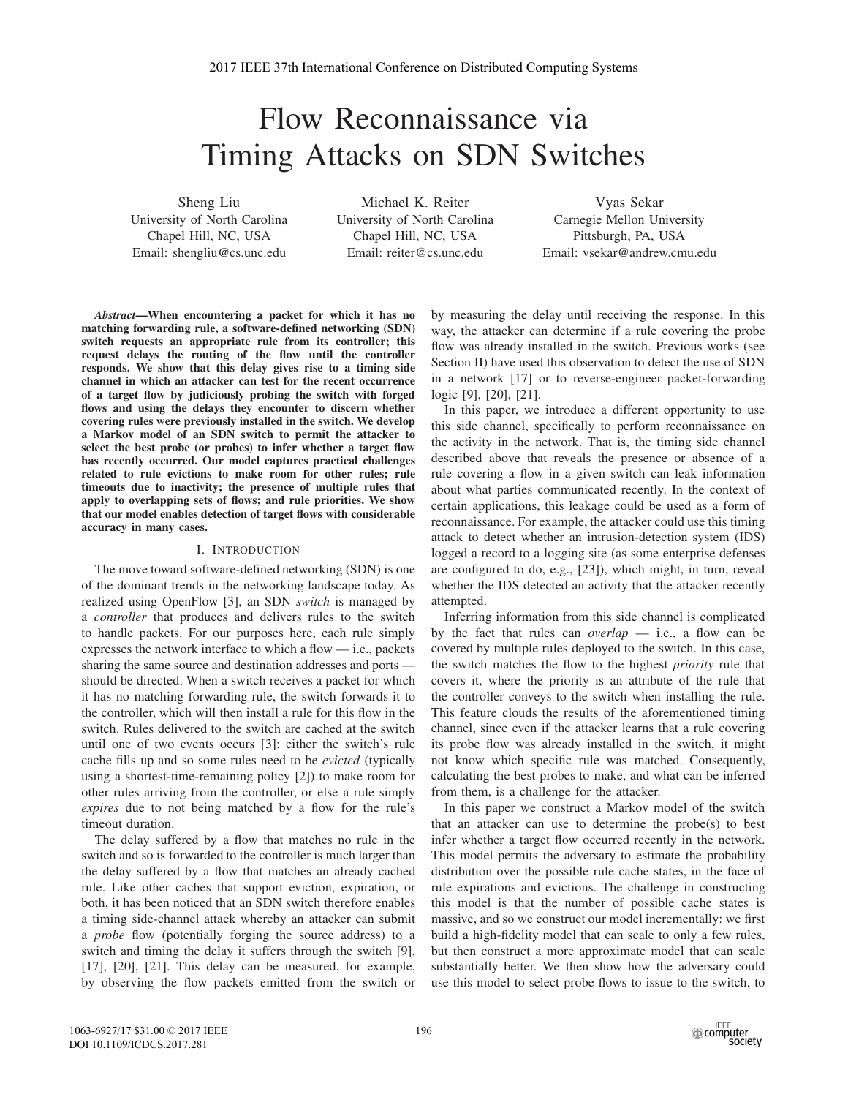# Flow Reconnaissance via Timing Attacks on SDN Switches

Sheng Liu University of North Carolina Chapel Hill, NC, USA Email: shengliu@cs.unc.edu

Michael K. Reiter University of North Carolina Chapel Hill, NC, USA Email: reiter@cs.unc.edu

Vyas Sekar Carnegie Mellon University Pittsburgh, PA, USA Email: vsekar@andrew.cmu.edu

*Abstract***—When encountering a packet for which it has no matching forwarding rule, a software-defined networking (SDN) switch requests an appropriate rule from its controller; this request delays the routing of the flow until the controller responds. We show that this delay gives rise to a timing side channel in which an attacker can test for the recent occurrence of a target flow by judiciously probing the switch with forged flows and using the delays they encounter to discern whether covering rules were previously installed in the switch. We develop a Markov model of an SDN switch to permit the attacker to select the best probe (or probes) to infer whether a target flow has recently occurred. Our model captures practical challenges related to rule evictions to make room for other rules; rule timeouts due to inactivity; the presence of multiple rules that apply to overlapping sets of flows; and rule priorities. We show that our model enables detection of target flows with considerable accuracy in many cases.**

## I. INTRODUCTION

The move toward software-defined networking (SDN) is one of the dominant trends in the networking landscape today. As realized using OpenFlow [3], an SDN *switch* is managed by a *controller* that produces and delivers rules to the switch to handle packets. For our purposes here, each rule simply expresses the network interface to which a flow  $-$  i.e., packets sharing the same source and destination addresses and ports should be directed. When a switch receives a packet for which it has no matching forwarding rule, the switch forwards it to the controller, which will then install a rule for this flow in the switch. Rules delivered to the switch are cached at the switch until one of two events occurs [3]: either the switch's rule cache fills up and so some rules need to be *evicted* (typically using a shortest-time-remaining policy [2]) to make room for other rules arriving from the controller, or else a rule simply *expires* due to not being matched by a flow for the rule's timeout duration.

The delay suffered by a flow that matches no rule in the switch and so is forwarded to the controller is much larger than the delay suffered by a flow that matches an already cached rule. Like other caches that support eviction, expiration, or both, it has been noticed that an SDN switch therefore enables a timing side-channel attack whereby an attacker can submit a *probe* flow (potentially forging the source address) to a switch and timing the delay it suffers through the switch [9], [17], [20], [21]. This delay can be measured, for example, by observing the flow packets emitted from the switch or

by measuring the delay until receiving the response. In this way, the attacker can determine if a rule covering the probe flow was already installed in the switch. Previous works (see Section II) have used this observation to detect the use of SDN in a network [17] or to reverse-engineer packet-forwarding logic [9], [20], [21].

In this paper, we introduce a different opportunity to use this side channel, specifically to perform reconnaissance on the activity in the network. That is, the timing side channel described above that reveals the presence or absence of a rule covering a flow in a given switch can leak information about what parties communicated recently. In the context of certain applications, this leakage could be used as a form of reconnaissance. For example, the attacker could use this timing attack to detect whether an intrusion-detection system (IDS) logged a record to a logging site (as some enterprise defenses are configured to do, e.g., [23]), which might, in turn, reveal whether the IDS detected an activity that the attacker recently attempted.

Inferring information from this side channel is complicated by the fact that rules can *overlap* — i.e., a flow can be covered by multiple rules deployed to the switch. In this case, the switch matches the flow to the highest *priority* rule that covers it, where the priority is an attribute of the rule that the controller conveys to the switch when installing the rule. This feature clouds the results of the aforementioned timing channel, since even if the attacker learns that a rule covering its probe flow was already installed in the switch, it might not know which specific rule was matched. Consequently, calculating the best probes to make, and what can be inferred from them, is a challenge for the attacker.

In this paper we construct a Markov model of the switch that an attacker can use to determine the probe(s) to best infer whether a target flow occurred recently in the network. This model permits the adversary to estimate the probability distribution over the possible rule cache states, in the face of rule expirations and evictions. The challenge in constructing this model is that the number of possible cache states is massive, and so we construct our model incrementally: we first build a high-fidelity model that can scale to only a few rules, but then construct a more approximate model that can scale substantially better. We then show how the adversary could use this model to select probe flows to issue to the switch, to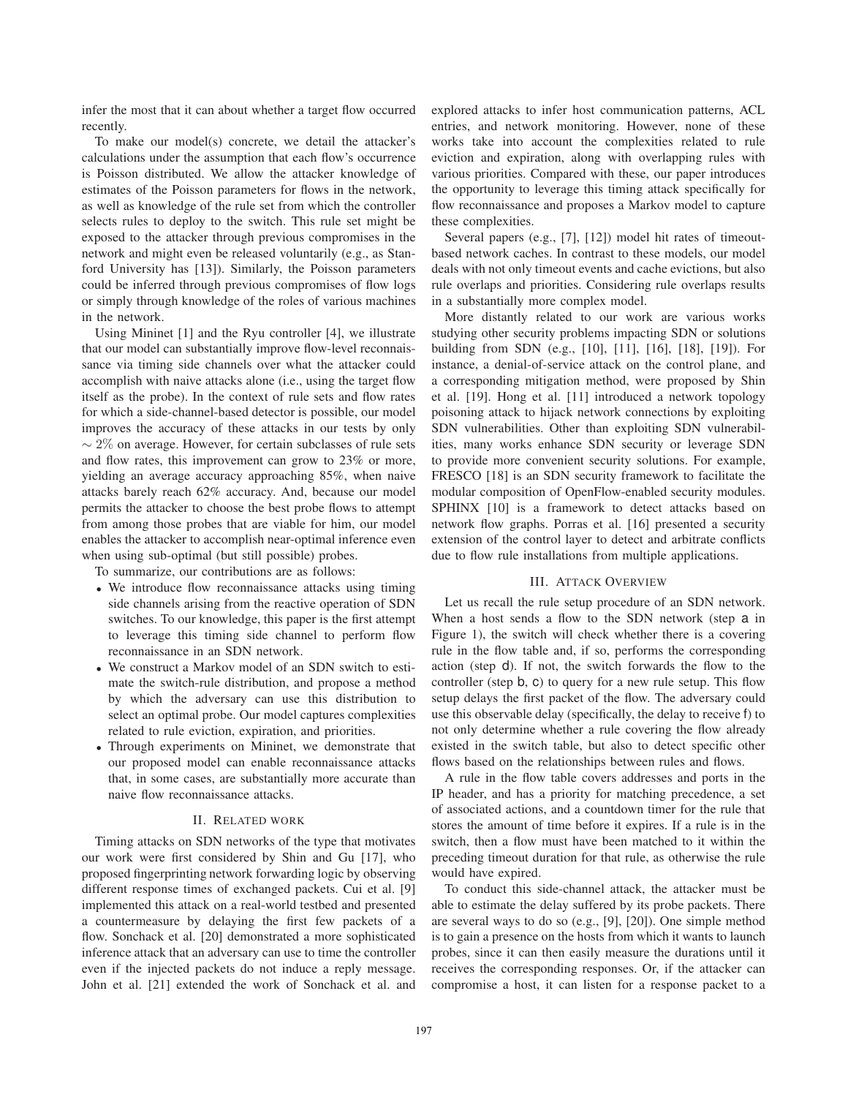infer the most that it can about whether a target flow occurred recently.

To make our model(s) concrete, we detail the attacker's calculations under the assumption that each flow's occurrence is Poisson distributed. We allow the attacker knowledge of estimates of the Poisson parameters for flows in the network, as well as knowledge of the rule set from which the controller selects rules to deploy to the switch. This rule set might be exposed to the attacker through previous compromises in the network and might even be released voluntarily (e.g., as Stanford University has [13]). Similarly, the Poisson parameters could be inferred through previous compromises of flow logs or simply through knowledge of the roles of various machines in the network.

Using Mininet [1] and the Ryu controller [4], we illustrate that our model can substantially improve flow-level reconnaissance via timing side channels over what the attacker could accomplish with naive attacks alone (i.e., using the target flow itself as the probe). In the context of rule sets and flow rates for which a side-channel-based detector is possible, our model improves the accuracy of these attacks in our tests by only  $\sim$  2% on average. However, for certain subclasses of rule sets and flow rates, this improvement can grow to 23% or more, yielding an average accuracy approaching 85%, when naive attacks barely reach 62% accuracy. And, because our model permits the attacker to choose the best probe flows to attempt from among those probes that are viable for him, our model enables the attacker to accomplish near-optimal inference even when using sub-optimal (but still possible) probes.

To summarize, our contributions are as follows:

- We introduce flow reconnaissance attacks using timing side channels arising from the reactive operation of SDN switches. To our knowledge, this paper is the first attempt to leverage this timing side channel to perform flow reconnaissance in an SDN network.
- We construct a Markov model of an SDN switch to estimate the switch-rule distribution, and propose a method by which the adversary can use this distribution to select an optimal probe. Our model captures complexities related to rule eviction, expiration, and priorities.
- Through experiments on Mininet, we demonstrate that our proposed model can enable reconnaissance attacks that, in some cases, are substantially more accurate than naive flow reconnaissance attacks.

## II. RELATED WORK

Timing attacks on SDN networks of the type that motivates our work were first considered by Shin and Gu [17], who proposed fingerprinting network forwarding logic by observing different response times of exchanged packets. Cui et al. [9] implemented this attack on a real-world testbed and presented a countermeasure by delaying the first few packets of a flow. Sonchack et al. [20] demonstrated a more sophisticated inference attack that an adversary can use to time the controller even if the injected packets do not induce a reply message. John et al. [21] extended the work of Sonchack et al. and

explored attacks to infer host communication patterns, ACL entries, and network monitoring. However, none of these works take into account the complexities related to rule eviction and expiration, along with overlapping rules with various priorities. Compared with these, our paper introduces the opportunity to leverage this timing attack specifically for flow reconnaissance and proposes a Markov model to capture these complexities.

Several papers (e.g., [7], [12]) model hit rates of timeoutbased network caches. In contrast to these models, our model deals with not only timeout events and cache evictions, but also rule overlaps and priorities. Considering rule overlaps results in a substantially more complex model.

More distantly related to our work are various works studying other security problems impacting SDN or solutions building from SDN (e.g., [10], [11], [16], [18], [19]). For instance, a denial-of-service attack on the control plane, and a corresponding mitigation method, were proposed by Shin et al. [19]. Hong et al. [11] introduced a network topology poisoning attack to hijack network connections by exploiting SDN vulnerabilities. Other than exploiting SDN vulnerabilities, many works enhance SDN security or leverage SDN to provide more convenient security solutions. For example, FRESCO [18] is an SDN security framework to facilitate the modular composition of OpenFlow-enabled security modules. SPHINX [10] is a framework to detect attacks based on network flow graphs. Porras et al. [16] presented a security extension of the control layer to detect and arbitrate conflicts due to flow rule installations from multiple applications.

#### III. ATTACK OVERVIEW

Let us recall the rule setup procedure of an SDN network. When a host sends a flow to the SDN network (step a in Figure 1), the switch will check whether there is a covering rule in the flow table and, if so, performs the corresponding action (step d). If not, the switch forwards the flow to the controller (step b, c) to query for a new rule setup. This flow setup delays the first packet of the flow. The adversary could use this observable delay (specifically, the delay to receive f) to not only determine whether a rule covering the flow already existed in the switch table, but also to detect specific other flows based on the relationships between rules and flows.

A rule in the flow table covers addresses and ports in the IP header, and has a priority for matching precedence, a set of associated actions, and a countdown timer for the rule that stores the amount of time before it expires. If a rule is in the switch, then a flow must have been matched to it within the preceding timeout duration for that rule, as otherwise the rule would have expired.

To conduct this side-channel attack, the attacker must be able to estimate the delay suffered by its probe packets. There are several ways to do so (e.g., [9], [20]). One simple method is to gain a presence on the hosts from which it wants to launch probes, since it can then easily measure the durations until it receives the corresponding responses. Or, if the attacker can compromise a host, it can listen for a response packet to a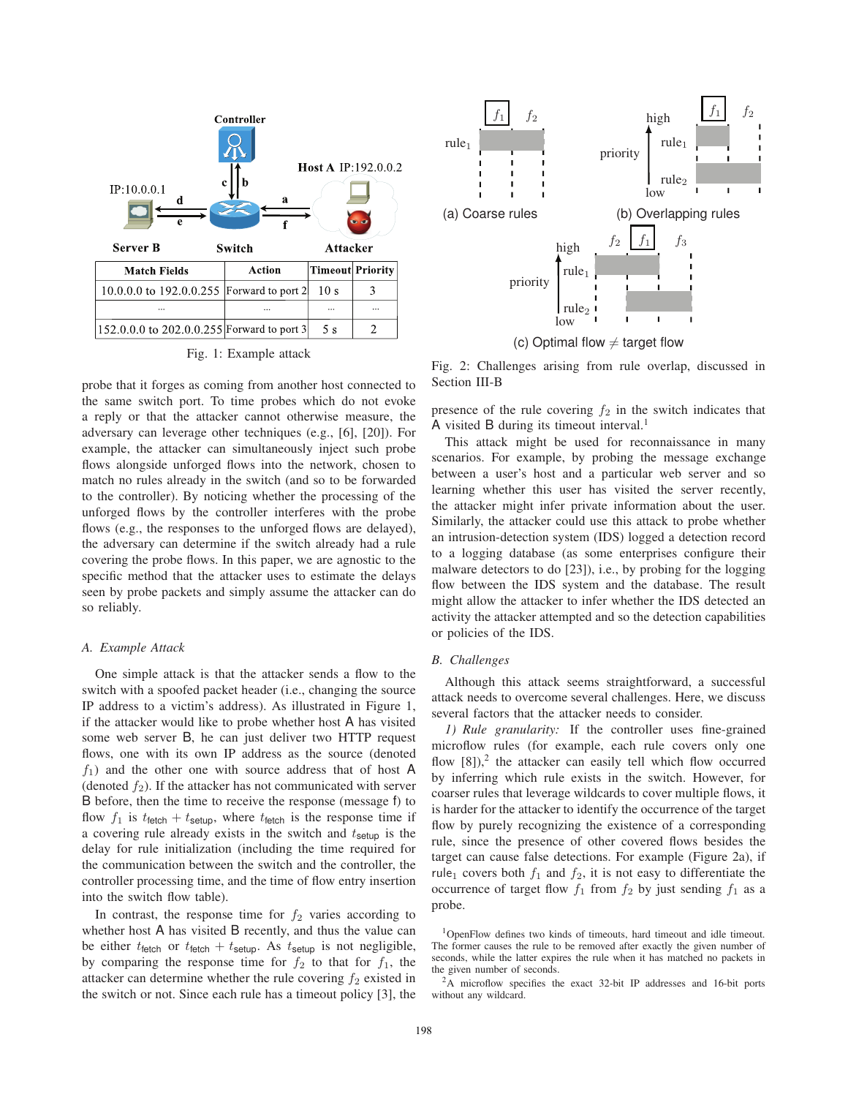

|  |  | Fig. 1: Example attack |  |
|--|--|------------------------|--|
|--|--|------------------------|--|

probe that it forges as coming from another host connected to the same switch port. To time probes which do not evoke a reply or that the attacker cannot otherwise measure, the adversary can leverage other techniques (e.g., [6], [20]). For example, the attacker can simultaneously inject such probe flows alongside unforged flows into the network, chosen to match no rules already in the switch (and so to be forwarded to the controller). By noticing whether the processing of the unforged flows by the controller interferes with the probe flows (e.g., the responses to the unforged flows are delayed), the adversary can determine if the switch already had a rule covering the probe flows. In this paper, we are agnostic to the specific method that the attacker uses to estimate the delays seen by probe packets and simply assume the attacker can do so reliably.

#### *A. Example Attack*

One simple attack is that the attacker sends a flow to the switch with a spoofed packet header (i.e., changing the source IP address to a victim's address). As illustrated in Figure 1, if the attacker would like to probe whether host A has visited some web server B, he can just deliver two HTTP request flows, one with its own IP address as the source (denoted  $f_1$ ) and the other one with source address that of host A (denoted  $f_2$ ). If the attacker has not communicated with server B before, then the time to receive the response (message f) to flow  $f_1$  is  $t_{\text{tetch}} + t_{\text{setup}}$ , where  $t_{\text{tetch}}$  is the response time if a covering rule already exists in the switch and  $t<sub>setup</sub>$  is the delay for rule initialization (including the time required for the communication between the switch and the controller, the controller processing time, and the time of flow entry insertion into the switch flow table).

In contrast, the response time for  $f_2$  varies according to whether host A has visited B recently, and thus the value can be either  $t_{\text{ fetch}}$  or  $t_{\text{ fetch}} + t_{\text{setup}}$ . As  $t_{\text{setup}}$  is not negligible, by comparing the response time for  $f_2$  to that for  $f_1$ , the attacker can determine whether the rule covering  $f_2$  existed in the switch or not. Since each rule has a timeout policy [3], the



(c) Optimal flow  $\neq$  target flow

Fig. 2: Challenges arising from rule overlap, discussed in Section III-B

presence of the rule covering  $f_2$  in the switch indicates that A visited B during its timeout interval.<sup>1</sup>

This attack might be used for reconnaissance in many scenarios. For example, by probing the message exchange between a user's host and a particular web server and so learning whether this user has visited the server recently, the attacker might infer private information about the user. Similarly, the attacker could use this attack to probe whether an intrusion-detection system (IDS) logged a detection record to a logging database (as some enterprises configure their malware detectors to do [23]), i.e., by probing for the logging flow between the IDS system and the database. The result might allow the attacker to infer whether the IDS detected an activity the attacker attempted and so the detection capabilities or policies of the IDS.

#### *B. Challenges*

Although this attack seems straightforward, a successful attack needs to overcome several challenges. Here, we discuss several factors that the attacker needs to consider.

*1) Rule granularity:* If the controller uses fine-grained microflow rules (for example, each rule covers only one flow  $[8]$ ),<sup>2</sup> the attacker can easily tell which flow occurred by inferring which rule exists in the switch. However, for coarser rules that leverage wildcards to cover multiple flows, it is harder for the attacker to identify the occurrence of the target flow by purely recognizing the existence of a corresponding rule, since the presence of other covered flows besides the target can cause false detections. For example (Figure 2a), if rule<sub>1</sub> covers both  $f_1$  and  $f_2$ , it is not easy to differentiate the occurrence of target flow  $f_1$  from  $f_2$  by just sending  $f_1$  as a probe.

<sup>1</sup>OpenFlow defines two kinds of timeouts, hard timeout and idle timeout. The former causes the rule to be removed after exactly the given number of seconds, while the latter expires the rule when it has matched no packets in the given number of seconds.

<sup>2</sup>A microflow specifies the exact 32-bit IP addresses and 16-bit ports without any wildcard.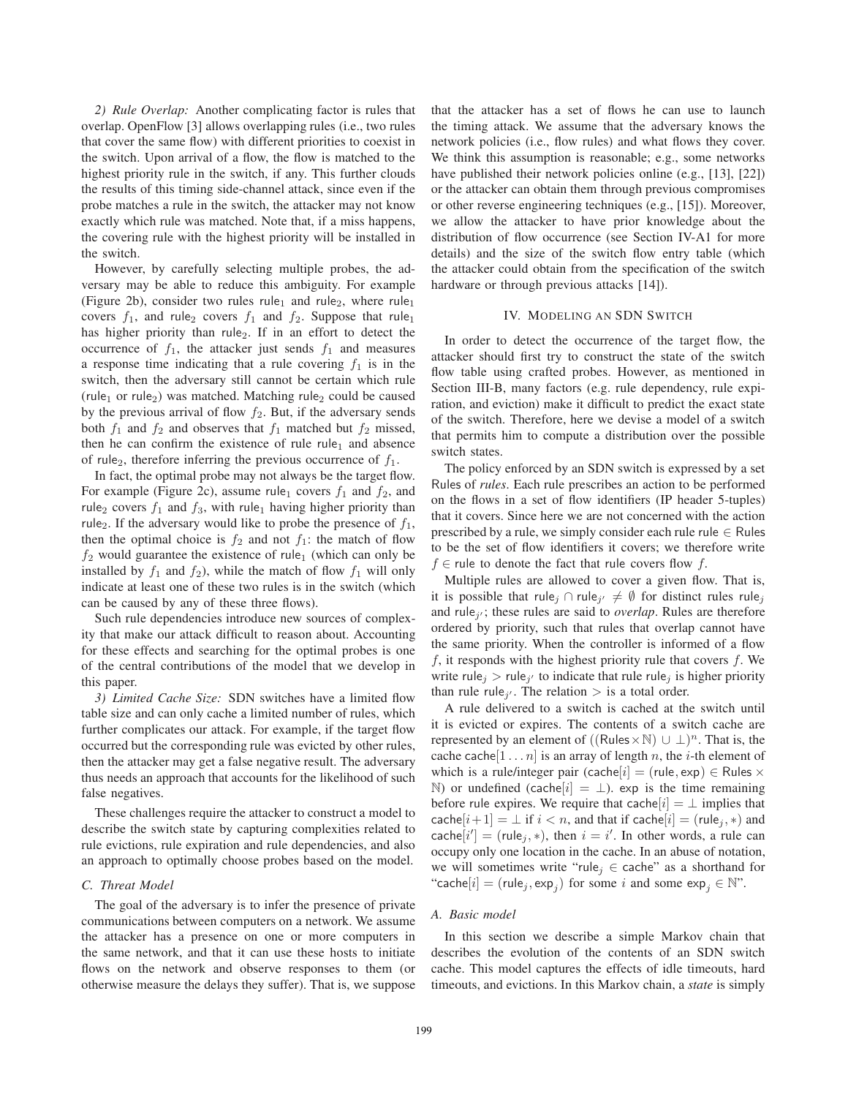*2) Rule Overlap:* Another complicating factor is rules that overlap. OpenFlow [3] allows overlapping rules (i.e., two rules that cover the same flow) with different priorities to coexist in the switch. Upon arrival of a flow, the flow is matched to the highest priority rule in the switch, if any. This further clouds the results of this timing side-channel attack, since even if the probe matches a rule in the switch, the attacker may not know exactly which rule was matched. Note that, if a miss happens, the covering rule with the highest priority will be installed in the switch.

However, by carefully selecting multiple probes, the adversary may be able to reduce this ambiguity. For example (Figure 2b), consider two rules rule<sub>1</sub> and rule<sub>2</sub>, where rule<sub>1</sub> covers  $f_1$ , and rule<sub>2</sub> covers  $f_1$  and  $f_2$ . Suppose that rule<sub>1</sub> has higher priority than rule<sub>2</sub>. If in an effort to detect the occurrence of  $f_1$ , the attacker just sends  $f_1$  and measures a response time indicating that a rule covering  $f_1$  is in the switch, then the adversary still cannot be certain which rule (rule<sub>1</sub> or rule<sub>2</sub>) was matched. Matching rule<sub>2</sub> could be caused by the previous arrival of flow  $f_2$ . But, if the adversary sends both  $f_1$  and  $f_2$  and observes that  $f_1$  matched but  $f_2$  missed, then he can confirm the existence of rule rule<sub>1</sub> and absence of rule<sub>2</sub>, therefore inferring the previous occurrence of  $f_1$ .

In fact, the optimal probe may not always be the target flow. For example (Figure 2c), assume rule<sub>1</sub> covers  $f_1$  and  $f_2$ , and rule<sub>2</sub> covers  $f_1$  and  $f_3$ , with rule<sub>1</sub> having higher priority than rule<sub>2</sub>. If the adversary would like to probe the presence of  $f_1$ , then the optimal choice is  $f_2$  and not  $f_1$ : the match of flow  $f_2$  would guarantee the existence of rule<sub>1</sub> (which can only be installed by  $f_1$  and  $f_2$ ), while the match of flow  $f_1$  will only indicate at least one of these two rules is in the switch (which can be caused by any of these three flows).

Such rule dependencies introduce new sources of complexity that make our attack difficult to reason about. Accounting for these effects and searching for the optimal probes is one of the central contributions of the model that we develop in this paper.

*3) Limited Cache Size:* SDN switches have a limited flow table size and can only cache a limited number of rules, which further complicates our attack. For example, if the target flow occurred but the corresponding rule was evicted by other rules, then the attacker may get a false negative result. The adversary thus needs an approach that accounts for the likelihood of such false negatives.

These challenges require the attacker to construct a model to describe the switch state by capturing complexities related to rule evictions, rule expiration and rule dependencies, and also an approach to optimally choose probes based on the model.

# *C. Threat Model*

The goal of the adversary is to infer the presence of private communications between computers on a network. We assume the attacker has a presence on one or more computers in the same network, and that it can use these hosts to initiate flows on the network and observe responses to them (or otherwise measure the delays they suffer). That is, we suppose

that the attacker has a set of flows he can use to launch the timing attack. We assume that the adversary knows the network policies (i.e., flow rules) and what flows they cover. We think this assumption is reasonable; e.g., some networks have published their network policies online (e.g., [13], [22]) or the attacker can obtain them through previous compromises or other reverse engineering techniques (e.g., [15]). Moreover, we allow the attacker to have prior knowledge about the distribution of flow occurrence (see Section IV-A1 for more details) and the size of the switch flow entry table (which the attacker could obtain from the specification of the switch hardware or through previous attacks [14]).

#### IV. MODELING AN SDN SWITCH

In order to detect the occurrence of the target flow, the attacker should first try to construct the state of the switch flow table using crafted probes. However, as mentioned in Section III-B, many factors (e.g. rule dependency, rule expiration, and eviction) make it difficult to predict the exact state of the switch. Therefore, here we devise a model of a switch that permits him to compute a distribution over the possible switch states.

The policy enforced by an SDN switch is expressed by a set Rules of *rules*. Each rule prescribes an action to be performed on the flows in a set of flow identifiers (IP header 5-tuples) that it covers. Since here we are not concerned with the action prescribed by a rule, we simply consider each rule rule  $\in$  Rules to be the set of flow identifiers it covers; we therefore write  $f \in$  rule to denote the fact that rule covers flow  $f$ .

Multiple rules are allowed to cover a given flow. That is, it is possible that rule<sub>j</sub> ∩ rule<sub>j</sub>  $\neq \emptyset$  for distinct rules rule<sub>j</sub><br>and rule<sub>ij</sub> these rules are said to *overlan*. Bulgs are therefore and rule<sub>j</sub>, these rules are said to *overlap*. Rules are therefore ordered by priority, such that rules that overlap cannot have the same priority. When the controller is informed of a flow  $f$ , it responds with the highest priority rule that covers  $f$ . We write rule<sub>j</sub> > rule<sub>j'</sub> to indicate that rule rule<sub>j</sub> is higher priority than rule rule<sub>j'</sub>. The relation  $>$  is a total order.

A rule delivered to a switch is cached at the switch until it is evicted or expires. The contents of a switch cache are represented by an element of  $((\text{Rules} \times \mathbb{N}) \cup \bot)^n$ . That is, the cache cache $[1 \dots n]$  is an array of length n, the *i*-th element of which is a rule/integer pair (cache $[i] = (rule, exp) \in Rules \times$ N) or undefined (cache $[i] = \perp$ ). exp is the time remaining before rule expires. We require that cache $[i] = \perp$  implies that  $\text{cache}[i+1] = \perp \text{ if } i < n$ , and that if  $\text{cache}[i] = (\text{rule}_j, *)$  and  $\text{cache}[i'] = (\text{rule}_j, *)$ , then  $i = i'$ . In other words, a rule can<br>occupy only one location in the cache. In an abuse of notation occupy only one location in the cache. In an abuse of notation, we will sometimes write "rule<sub>j</sub>  $\in$  cache" as a shorthand for "cache[i] = (rule<sub>j</sub>, exp<sub>j</sub>) for some i and some exp<sub>j</sub>  $\in \mathbb{N}$ ".

#### *A. Basic model*

In this section we describe a simple Markov chain that describes the evolution of the contents of an SDN switch cache. This model captures the effects of idle timeouts, hard timeouts, and evictions. In this Markov chain, a *state* is simply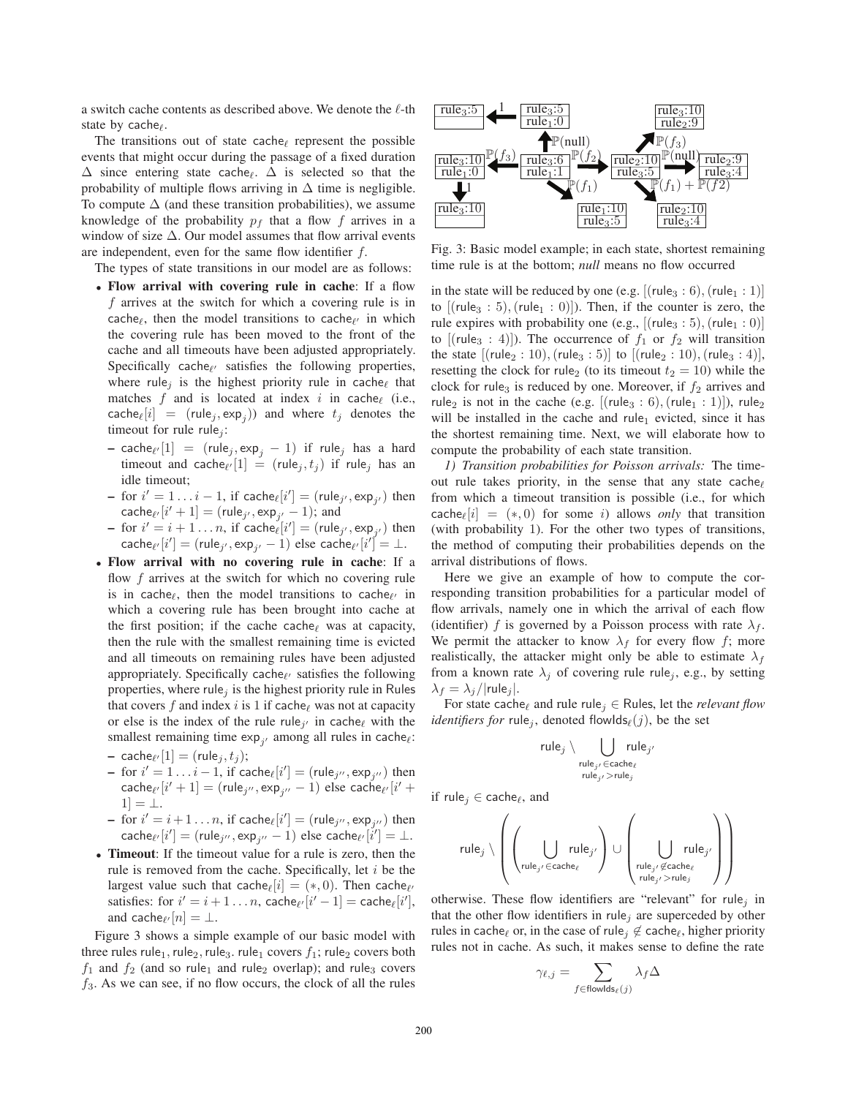a switch cache contents as described above. We denote the  $\ell$ -th state by cache $\ell$ .

The transitions out of state cache $\ell$  represent the possible events that might occur during the passage of a fixed duration  $\Delta$  since entering state cache<sub>l</sub>.  $\overline{\Delta}$  is selected so that the probability of multiple flows arriving in  $\Delta$  time is negligible. probability of multiple flows arriving in  $\Delta$  time is negligible. To compute  $\Delta$  (and these transition probabilities), we assume knowledge of the probability  $p_f$  that a flow f arrives in a window of size  $\Delta$ . Our model assumes that flow arrival events are independent, even for the same flow identifier f.

The types of state transitions in our model are as follows:

- **Flow arrival with covering rule in cache**: If a flow f arrives at the switch for which a covering rule is in cache<sub> $\ell$ </sub>, then the model transitions to cache $\ell'$  in which the covering rule has been moved to the front of the cache and all timeouts have been adjusted appropriately. Specifically cache $_{\ell'}$  satisfies the following properties, where rule<sub>j</sub> is the highest priority rule in cache<sub>l</sub> that matches  $f$  and is located at index i in cache<sub>l</sub> (i.e., cache<sub>l</sub>[i] = (rule<sub>j</sub>, exp<sub>j</sub>)) and where  $t_j$  denotes the timeout for rule rule. timeout for rule rule<sub>j</sub>:
	- cache<sub>l</sub> [1] = (rule<sub>j</sub>, exp<sub>j</sub> − 1) if rule<sub>j</sub> has a hard<br>i and cache...<sup>[1]</sup> = (rule, t) if rule, has an timeout and cache $\ell$  $[1] = (rule_j, t_j)$  if rule<sub>j</sub> has an idle timeout;
	- $\begin{aligned} \text{- for } i' = 1 \dots i 1, \text{ if } \text{ cache}_{\ell}[i'] = (\text{rule}_{j'}, \exp_{j'}) \text{ then} \\ \text{cache}_{\ell}[i' + 1] = (\text{rule}_{j \in \mathcal{N}} \exp_{j} 1) \text{ and} \end{aligned}$  $\text{cache}_{\ell'}[i'+1] = (\text{rule}_{j'}, \exp_{j'} - 1); \text{ and}$ <br>for  $i' = i + 1 - n$  if  $\text{cache}_{\ell}[i'] = (\text{rule})$
	- $\begin{bmatrix} -\text{ for } i' = i+1 \dots n, \text{ if } \text{cache}_{\ell}[i'] = (\text{rule}_{j'}, \exp_{j'}) \text{ then } \\ \text{cache}_{\ell}[i'] (\text{rule}_{j'} \exp_{j'} 1) \text{ else } \text{cache}_{\ell}[i'] 1 \end{bmatrix}$  $\text{cache}_{\ell'}[i'] = (\text{rule}_{j'}, \exp_{j'} - 1)$  else cache $\ell' [i'] = \bot$ .
- **Flow arrival with no covering rule in cache**: If a flow f arrives at the switch for which no covering rule is in cache<sub> $\ell$ </sub>, then the model transitions to cache $\ell$  in which a covering rule has been brought into cache at the first position; if the cache cache $_{\ell}$  was at capacity, then the rule with the smallest remaining time is evicted and all timeouts on remaining rules have been adjusted appropriately. Specifically cache $_{\ell'}$  satisfies the following properties, where rule<sub>j</sub> is the highest priority rule in Rules that covers f and index i is 1 if cache  $\ell$  was not at capacity<br>or else is the index of the rule rule  $\mu$  in caches with the or else is the index of the rule rule<sub>j</sub> in cache<sub> $\ell$ </sub> with the smallest remaining time  $\exp_{j'}$  among all rules in cache<sub> $\ell$ </sub>:
	- cache<sub>l</sub>  $[1] = (rule_j, t_j);$ <br> $\frac{1}{i} = \frac{i}{j} = 1$  if  $\epsilon$ ;
	- $\begin{aligned} -\text{ for } i' = 1 \dots i-1, \text{ if } \text{cache}_{\ell}[i'] = (\text{rule}_{j''}, \exp_{j''}) \text{ then} \\ \text{cache}_{\ell}[i' + 1] = (\text{rule}_{j''}, \exp_{j-1}] \text{ else } \text{cache}_{\ell}[i'] \end{aligned}$  $\text{cache}_{\ell'}[i'+1] = (\text{rule}_{j''}, \exp_{j''}-1) \text{ else } \text{cache}_{\ell'}[i'+1] - 1$  $1]=\perp$ .
	- $\begin{aligned} -\text{ for } i' = i+1 \dots n, \text{ if } \text{cache}_{\ell}[i'] = (\text{rule}_{j'', \text{exp}_{j''}}) \text{ then} \\ \text{cache}_{\ell}[i'] = (\text{rule}_{j'', \text{exp}_{j''}}) \text{ else } \text{cache}_{\ell}[i'] = 1 \end{aligned}$  $\text{cache}_{\ell'}[i'] = (\text{rule}_{j''}, \exp_{j''}-1)$  else cache $\ell'[i'] = \bot$ .
- **Timeout**: If the timeout value for a rule is zero, then the rule is removed from the cache. Specifically, let  $i$  be the largest value such that cache<sub> $\ell[i] = (*, 0)$ </sub>. Then cache $\ell$ <br>satisfies: for  $i' = i + 1 - n$ , cache $\ell[i'] = 1 - \text{cosh}(\ell[i'])$ satisfies: for  $i' = i + 1 ... n$ , cache $\ell$   $[i' - 1] = \text{cache}_{\ell}[i'],$ and cache $e$ <sup>*(n]* =  $\perp$ .</sup>

Figure 3 shows a simple example of our basic model with three rules rule<sub>1</sub>, rule<sub>2</sub>, rule<sub>3</sub>. rule<sub>1</sub> covers  $f_1$ ; rule<sub>2</sub> covers both  $f_1$  and  $f_2$  (and so rule<sub>1</sub> and rule<sub>2</sub> overlap); and rule<sub>3</sub> covers  $f_3$ . As we can see, if no flow occurs, the clock of all the rules



Fig. 3: Basic model example; in each state, shortest remaining time rule is at the bottom; *null* means no flow occurred

in the state will be reduced by one (e.g.  $[(rule_3 : 6), (rule_1 : 1)]$ to  $[(rule_3 : 5), (rule_1 : 0)])$ . Then, if the counter is zero, the rule expires with probability one (e.g.,  $[(rule_3 : 5), (rule_1 : 0)]$ to  $[(rule_3 : 4)]$ . The occurrence of  $f_1$  or  $f_2$  will transition the state  $[(rule_2:10), (rule_3:5)]$  to  $[(rule_2:10), (rule_3:4)]$ , resetting the clock for rule<sub>2</sub> (to its timeout  $t_2 = 10$ ) while the clock for rule<sub>3</sub> is reduced by one. Moreover, if  $f_2$  arrives and rule<sub>2</sub> is not in the cache (e.g.  $[(rule_3 : 6), (rule_1 : 1)]$ ), rule<sub>2</sub> will be installed in the cache and rule<sub>1</sub> evicted, since it has the shortest remaining time. Next, we will elaborate how to compute the probability of each state transition.

*1) Transition probabilities for Poisson arrivals:* The timeout rule takes priority, in the sense that any state cache from which a timeout transition is possible (i.e., for which  $\text{cache}_{\ell}[i] = (*, 0)$  for some *i*) allows *only* that transition<br>(with probability 1). For the other two types of transitions (with probability 1). For the other two types of transitions, the method of computing their probabilities depends on the arrival distributions of flows.

Here we give an example of how to compute the corresponding transition probabilities for a particular model of flow arrivals, namely one in which the arrival of each flow (identifier) f is governed by a Poisson process with rate  $\lambda_f$ . We permit the attacker to know  $\lambda_f$  for every flow f; more realistically, the attacker might only be able to estimate  $\lambda_f$ from a known rate  $\lambda_i$  of covering rule rule<sub>i</sub>, e.g., by setting  $\lambda_f = \lambda_i/|{\rm rule}_i|.$ 

For state cache<sub> $\ell$ </sub> and rule rule<sub>j</sub>  $\in$  Rules, let the *relevant flow identifiers for* rule<sub>j</sub>, denoted flowIds<sub> $\ell$ </sub>(*j*), be the set

$$
\mathsf{rule}_j \setminus \bigcup_{\substack{\mathsf{rule}_{j'} \in \mathsf{cache}_\ell \\ \mathsf{rule}_{j'} > \mathsf{rule}_j}} \mathsf{rule}_{j'}
$$

if rule $j \in \mathsf{cache}_{\ell}$ , and

$$
\mathsf{rule}_j \setminus \left(\left(\bigcup_{\mathsf{rule}_{j'} \in \mathsf{cache}_\ell} \mathsf{rule}_{j'}\right) \cup \left(\bigcup_{\mathsf{rule}_{j'} \in \mathsf{cache}_\ell} \mathsf{rule}_{j'}\right)\right)
$$

otherwise. These flow identifiers are "relevant" for rule<sub>j</sub> in that the other flow identifiers in rule<sub>j</sub> are superceded by other rules in cache<sub> $\ell$ </sub> or, in the case of rule<sub>j</sub>  $\notin$  cache $\ell$ , higher priority rules not in cache. As such, it makes sense to define the rate

$$
\gamma_{\ell,j} = \sum_{f \in \text{flowlds}_{\ell}(j)} \lambda_f \Delta
$$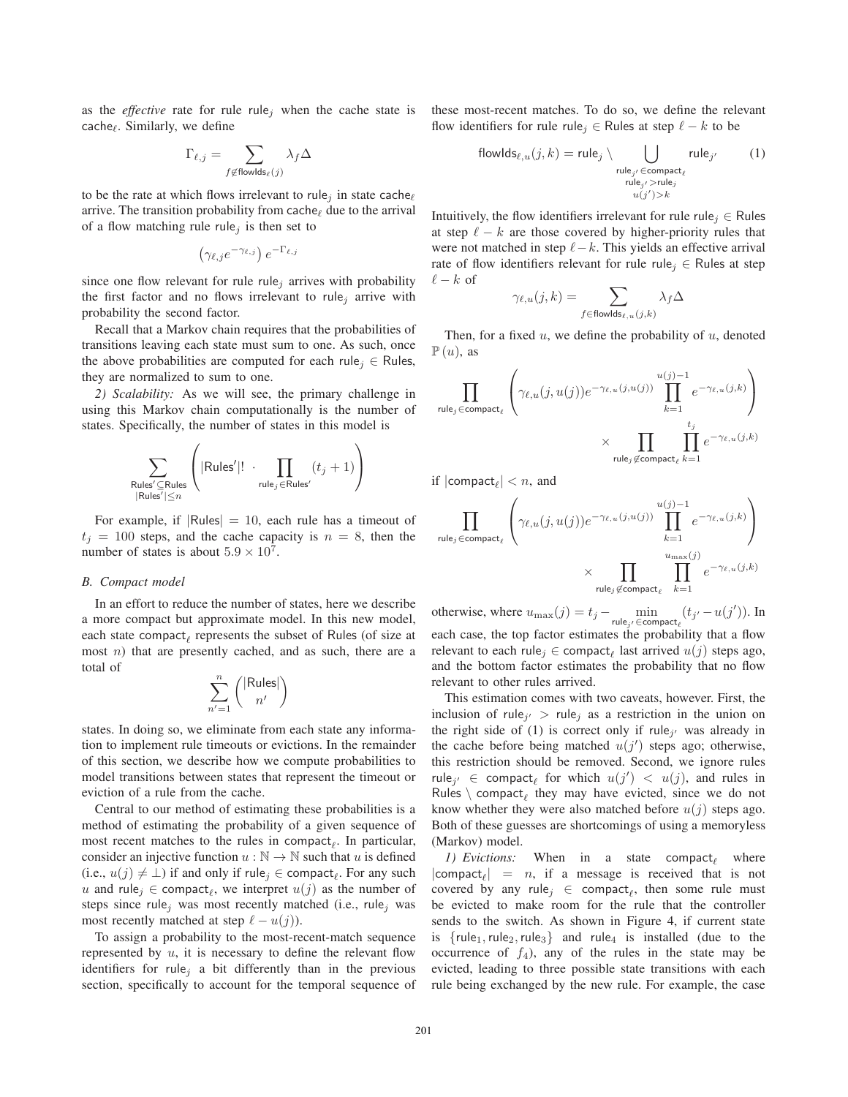as the *effective* rate for rule rule<sub>j</sub> when the cache state is  $cache_{\ell}$ . Similarly, we define

$$
\Gamma_{\ell,j} = \sum_{f \not\in \text{flowlds}_\ell(j)} \lambda_f \Delta
$$

to be the rate at which flows irrelevant to rule<sub>j</sub> in state cache $\ell$ arrive. The transition probability from cache  $\phi$  due to the arrival of a flow matching rule rule<sub>i</sub> is then set to

$$
\left(\gamma_{\ell,j}e^{-\gamma_{\ell,j}}\right)e^{-\Gamma_{\ell,j}}
$$

since one flow relevant for rule rule<sub>j</sub> arrives with probability the first factor and no flows irrelevant to rule<sub>j</sub> arrive with probability the second factor.

Recall that a Markov chain requires that the probabilities of transitions leaving each state must sum to one. As such, once the above probabilities are computed for each rule<sub>i</sub>  $\in$  Rules, they are normalized to sum to one.

*2) Scalability:* As we will see, the primary challenge in using this Markov chain computationally is the number of states. Specifically, the number of states in this model is

$$
\sum_{\substack{\text{Rules}' \subseteq \text{Rules} \\ |\text{Rules}'| \le n}} \left( |\text{Rules}'|! \cdot \prod_{\text{rule}_j \in \text{Rules}'} (t_j + 1) \right)
$$

For example, if  $|Rules| = 10$ , each rule has a timeout of  $t<sub>i</sub> = 100$  steps, and the cache capacity is  $n = 8$ , then the number of states is about  $5.9 \times 10^7$ .

## *B. Compact model*

In an effort to reduce the number of states, here we describe a more compact but approximate model. In this new model, each state compact<sub> $\ell$ </sub> represents the subset of Rules (of size at most  $n$ ) that are presently cached, and as such, there are a total of

$$
\sum_{n'=1}^n \binom{|\text{Rules}|}{n'}
$$

states. In doing so, we eliminate from each state any information to implement rule timeouts or evictions. In the remainder of this section, we describe how we compute probabilities to model transitions between states that represent the timeout or eviction of a rule from the cache.

Central to our method of estimating these probabilities is a method of estimating the probability of a given sequence of most recent matches to the rules in compact<sub> $\ell$ </sub>. In particular, consider an injective function  $u : \mathbb{N} \to \mathbb{N}$  such that u is defined (i.e.,  $u(j) \neq \bot$ ) if and only if rule<sub>j</sub> ∈ compact<sub>e</sub>. For any such  $u_i$  and rule<sub>i</sub> ∈ compact. We interpret  $u(i)$  as the number of *u* and rule<sub>j</sub> ∈ compact<sub>e</sub>, we interpret  $u(j)$  as the number of steps since rule, was most recently matched (i.e., rule, was steps since rule<sub>j</sub> was most recently matched (i.e., rule<sub>j</sub> was most recently matched at step  $\ell - u(j)$ .<br>To assign a probability to the most re-

To assign a probability to the most-recent-match sequence represented by  $u$ , it is necessary to define the relevant flow identifiers for rule<sub>j</sub> a bit differently than in the previous section, specifically to account for the temporal sequence of these most-recent matches. To do so, we define the relevant flow identifiers for rule rule<sub>j</sub>  $\in$  Rules at step  $\ell - k$  to be

$$
flowlds_{\ell, u}(j, k) = rule_j \setminus \bigcup_{\substack{rule_{j'} \in \text{compact}_{\ell} \\ rule_{j'} > rule_j \\ u(j') > k}} rule_j \setminus \text{rule}_j \tag{1}
$$

Intuitively, the flow identifiers irrelevant for rule rule<sub>i</sub>  $\in$  Rules at step  $\ell - k$  are those covered by higher-priority rules that were not matched in step  $\ell - k$ . This yields an effective arrival rate of flow identifiers relevant for rule rule<sub>i</sub> ∈ Rules at step  $\ell - k$  of

$$
\gamma_{\ell,u}(j,k) = \sum_{f \in \text{flowlds}_{\ell,u}(j,k)} \lambda_f \Delta
$$

Then, for a fixed  $u$ , we define the probability of  $u$ , denoted  $\mathbb{P}(u)$ , as

$$
\prod_{\text{rule}_j \in \text{compact}_{\ell}} \left( \gamma_{\ell, u}(j, u(j)) e^{-\gamma_{\ell, u}(j, u(j))} \prod_{k=1}^{u(j)-1} e^{-\gamma_{\ell, u}(j, k)} \right)
$$
  

$$
\times \prod_{\text{rule}_j \not\in \text{compact}_{\ell}} \prod_{k=1}^{t_j} e^{-\gamma_{\ell, u}(j, k)}
$$

if  $|compact_\ell| < n$ , and

$$
\prod_{\text{rule}_j \in \text{compact}_{\ell}} \left( \gamma_{\ell,u}(j,u(j)) e^{-\gamma_{\ell,u}(j,u(j))} \prod_{k=1}^{u(j)-1} e^{-\gamma_{\ell,u}(j,k)} \right)
$$
\n
$$
\times \prod_{\text{rule}_j \notin \text{compact}_{\ell}} \prod_{k=1}^{u_{\text{max}}(j)} e^{-\gamma_{\ell,u}(j,k)}
$$

otherwise, where  $u_{\max}(j) = t_j - \min_{\text{rule}_{j'} \in \text{compact}_{\ell}} (t_{j'} - u(j'))$ . In each case, the top factor estimates the probability that a flow relevant to each rule<sub>j</sub> ∈ compact<sub>e</sub> last arrived  $u(j)$  steps ago, and the bottom factor estimates the probability that no flow relevant to other rules arrived.

This estimation comes with two caveats, however. First, the inclusion of rule<sub>j'</sub> > rule<sub>j</sub> as a restriction in the union on the right side of (1) is correct only if rule<sub>j</sub>, was already in the cache before being matched  $u(j')$  steps ago; otherwise,<br>this restriction should be removed. Second, we ignore rules this restriction should be removed. Second, we ignore rules rule<sub>j</sub>  $\in$  compact, for which  $u(j') < u(j)$ , and rules in Rules  $\setminus$  compact, they may have evicted since we do not Rules  $\setminus$  compact<sub>e</sub> they may have evicted, since we do not know whether they were also matched before  $u(j)$  steps ago. Both of these guesses are shortcomings of using a memoryless (Markov) model.

1) Evictions: When in a state compact<sub> $\ell$ </sub> where  $|compact_{\ell}| = n$ , if a message is received that is not<br>covered by any rule:  $\epsilon$  compact, then some rule must covered by any rule<sub>j</sub>  $\in$  compact<sub> $\ell$ </sub>, then some rule must be evicted to make room for the rule that the controller sends to the switch. As shown in Figure 4, if current state is  ${rule_1,rule_2}$ , rule<sub>3</sub>} and rule<sub>4</sub> is installed (due to the occurrence of  $f_4$ ), any of the rules in the state may be evicted, leading to three possible state transitions with each rule being exchanged by the new rule. For example, the case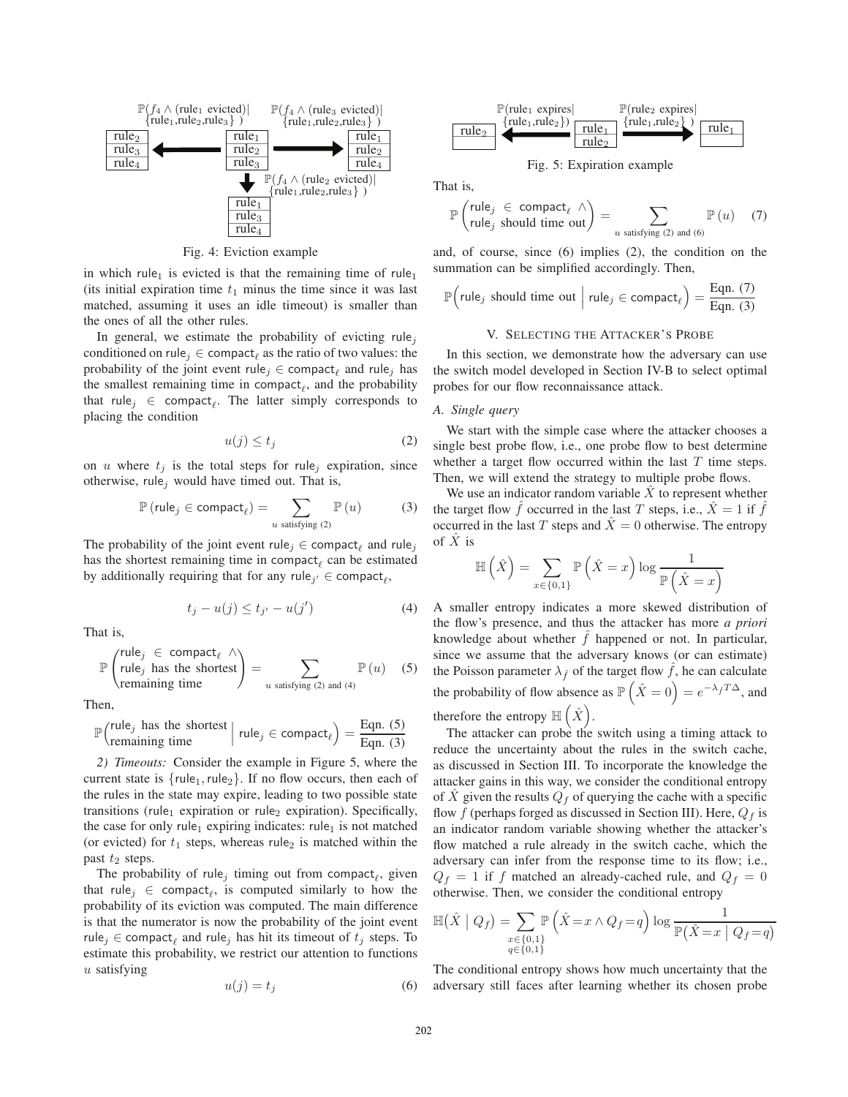

Fig. 4: Eviction example

in which rule<sub>1</sub> is evicted is that the remaining time of rule<sub>1</sub> (its initial expiration time  $t_1$  minus the time since it was last matched, assuming it uses an idle timeout) is smaller than the ones of all the other rules.

In general, we estimate the probability of evicting rule<sub>j</sub> conditioned on rule<sub>j</sub>  $\in$  compact<sub> $\ell$ </sub> as the ratio of two values: the probability of the joint event rule<sub>j</sub>  $\in$  compact<sub> $\ell$ </sub> and rule<sub>j</sub> has the smallest remaining time in compact<sub> $\ell$ </sub>, and the probability that rule<sub>j</sub>  $\in$  compact<sub> $\ell$ </sub>. The latter simply corresponds to placing the condition

$$
u(j) \le t_j \tag{2}
$$

on u where  $t_i$  is the total steps for rule<sub>i</sub> expiration, since otherwise, rule<sub>j</sub> would have timed out. That is,

$$
\mathbb{P}\left(\text{rule}_{j} \in \text{compact}_{\ell}\right) = \sum_{u \text{ satisfying (2)}} \mathbb{P}\left(u\right) \tag{3}
$$

The probability of the joint event rule<sub>j</sub>  $\in$  compact<sub> $\ell$ </sub> and rule<sub>j</sub> has the shortest remaining time in  $compact_{\ell}$  can be estimated by additionally requiring that for any rule<sub>j'</sub>  $\in$  compact<sub>l</sub>,

$$
t_j - u(j) \le t_{j'} - u(j')
$$
 (4)

That is,

$$
\mathbb{P}\left(\begin{array}{c}\text{rule}_{j} \in \text{compact}_{\ell} \\ \text{rule}_{j} \text{ has the shortest} \\ \text{remaining time}\end{array}\right) = \sum_{u \text{ satisfying (2) and (4)}} \mathbb{P}\left(u\right) \quad (5)
$$

Then,

$$
\mathbb{P}\left(\begin{array}{c}\text{rule}_j \text{ has the shortest} \\ \text{remaining time}\end{array}\right| \text{ rule}_j \in \text{compact}_{\ell}\right) = \frac{\text{Eqn. (5)}}{\text{Eqn. (3)}}
$$

*2) Timeouts:* Consider the example in Figure 5, where the current state is  $\{rule_1,rule_2\}$ . If no flow occurs, then each of the rules in the state may expire, leading to two possible state transitions (rule<sub>1</sub> expiration or rule<sub>2</sub> expiration). Specifically, the case for only rule<sub>1</sub> expiring indicates: rule<sub>1</sub> is not matched (or evicted) for  $t_1$  steps, whereas rule<sub>2</sub> is matched within the past  $t_2$  steps.

The probability of rule<sub>j</sub> timing out from compact<sub> $\ell$ </sub>, given that rule<sub>j</sub>  $\in$  compact<sub>e</sub>, is computed similarly to how the probability of its eviction was computed. The main difference is that the numerator is now the probability of the joint event rule<sub>j</sub>  $\in$  compact<sub> $\ell$ </sub> and rule<sub>j</sub> has hit its timeout of  $t_j$  steps. To estimate this probability, we restrict our attention to functions  $u$  satisfying

$$
u(j) = t_j \tag{6}
$$



Fig. 5: Expiration example

That is,

$$
\mathbb{P}\left(\begin{array}{ccc}\mathsf{rule}_j & \in \mathsf{compact}_{\ell} & \wedge \\ \mathsf{rule}_j & \mathsf{should\ time\ out}\end{array}\right) = \sum_{u \text{ satisfying (2) and (6)}} \mathbb{P}\left(u\right) \quad (7)
$$

and, of course, since (6) implies (2), the condition on the summation can be simplified accordingly. Then,

$$
\mathbb{P}\Big(\text{rule}_j \text{ should time out } \Big| \text{ rule}_j \in \text{compact}_{\ell}\Big) = \frac{\text{Eqn. (7)}}{\text{Eqn. (3)}}
$$

#### V. SELECTING THE ATTACKER'S PROBE

In this section, we demonstrate how the adversary can use the switch model developed in Section IV-B to select optimal probes for our flow reconnaissance attack.

## *A. Single query*

We start with the simple case where the attacker chooses a single best probe flow, i.e., one probe flow to best determine whether a target flow occurred within the last  $T$  time steps. Then, we will extend the strategy to multiple probe flows.

We use an indicator random variable  $\hat{X}$  to represent whether the target flow  $\hat{f}$  occurred in the last T steps, i.e.,  $\hat{X} = 1$  if  $\hat{f}$ occurred in the last T steps and  $\ddot{X} = 0$  otherwise. The entropy of  $\hat{X}$  is

$$
\mathbb{H}\left(\hat{X}\right) = \sum_{x \in \{0,1\}} \mathbb{P}\left(\hat{X} = x\right) \log \frac{1}{\mathbb{P}\left(\hat{X} = x\right)}
$$

A smaller entropy indicates a more skewed distribution of the flow's presence, and thus the attacker has more *a priori* knowledge about whether  $f$  happened or not. In particular, since we assume that the adversary knows (or can estimate) the Poisson parameter  $\lambda_f$  of the target flow f, he can calculate the probability of flow absence as  $\mathbb{P}(\hat{X}=0) = e^{-\lambda_f T \Delta}$ , and therefore the entropy  $\mathbb{H}(\hat{X})$ .

The attacker can probe the switch using a timing attack to reduce the uncertainty about the rules in the switch cache, as discussed in Section III. To incorporate the knowledge the attacker gains in this way, we consider the conditional entropy of  $\ddot{X}$  given the results  $Q_f$  of querying the cache with a specific flow  $f$  (perhaps forged as discussed in Section III). Here,  $Q_f$  is an indicator random variable showing whether the attacker's flow matched a rule already in the switch cache, which the adversary can infer from the response time to its flow; i.e.,  $Q_f = 1$  if f matched an already-cached rule, and  $Q_f = 0$ otherwise. Then, we consider the conditional entropy

$$
\mathbb{H}(\hat{X} \mid Q_f) = \sum_{\substack{x \in \{0,1\} \\ q \in \{0,1\}}} \mathbb{P}\left(\hat{X} = x \land Q_f = q\right) \log \frac{1}{\mathbb{P}(\hat{X} = x \mid Q_f = q)}
$$

The conditional entropy shows how much uncertainty that the adversary still faces after learning whether its chosen probe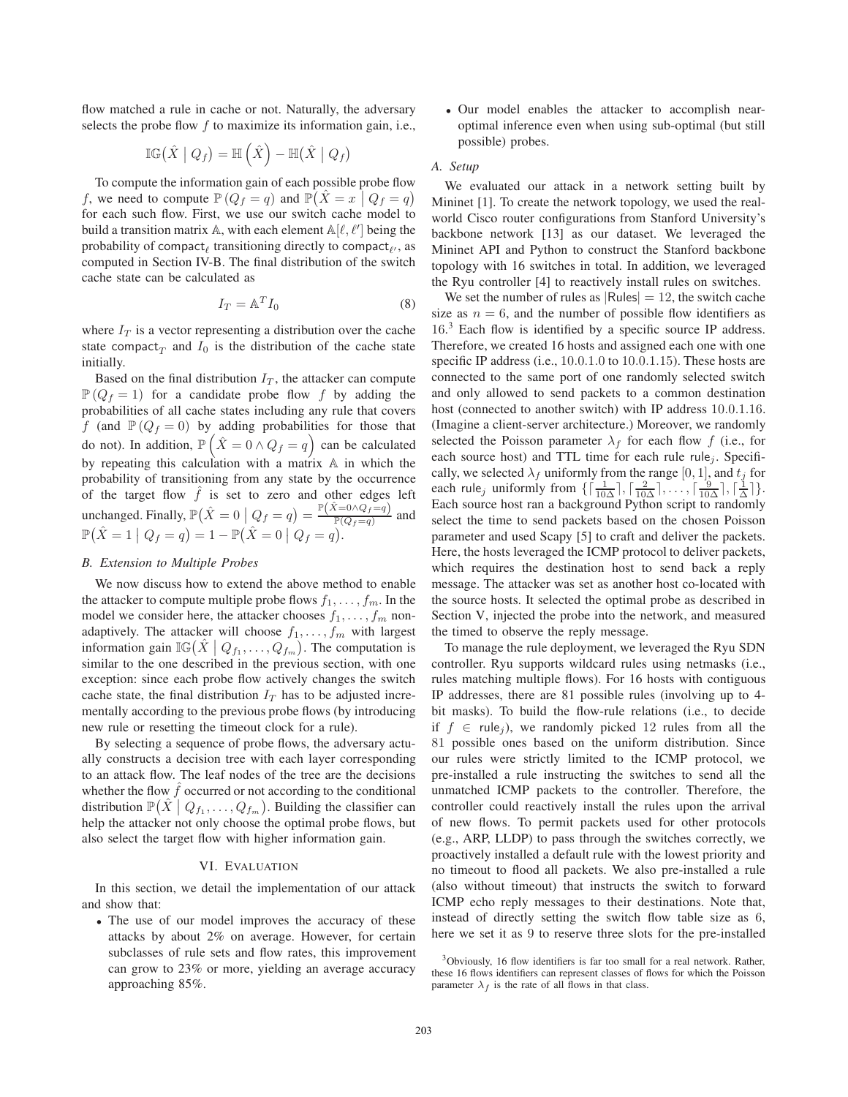flow matched a rule in cache or not. Naturally, the adversary selects the probe flow f to maximize its information gain, i.e.,

$$
\mathbb{IG}(\hat{X} \mid Q_f) = \mathbb{H}(\hat{X}) - \mathbb{H}(\hat{X} \mid Q_f)
$$

To compute the information gain of each possible probe flow f, we need to compute  $\mathbb{P}(Q_f = q)$  and  $\mathbb{P}(\hat{X} = x | Q_f = q)$ <br>for each such flow. First, we use our switch cache model to for each such flow. First, we use our switch cache model to build a transition matrix  $\mathbb{A}$ , with each element  $\mathbb{A}[\ell, \ell']$  being the probability of compact, transitioning directly to compact, as probability of compact<sub> $\ell$ </sub> transitioning directly to compact $_{\ell'}$ , as computed in Section IV-B. The final distribution of the switch cache state can be calculated as

$$
I_T = \mathbb{A}^T I_0 \tag{8}
$$

where  $I_T$  is a vector representing a distribution over the cache state compact<sub>T</sub> and  $I_0$  is the distribution of the cache state initially.

Based on the final distribution  $I_T$ , the attacker can compute  $\mathbb{P}(Q_f = 1)$  for a candidate probe flow f by adding the probabilities of all cache states including any rule that covers f (and  $\mathbb{P}(Q_f = 0)$  by adding probabilities for those that do not). In addition,  $\mathbb{P}(\hat{X} = 0 \wedge Q_f = q)$  can be calculated<br>by generating this calculation with a matrix  $\wedge$  in which the by repeating this calculation with a matrix A in which the probability of transitioning from any state by the occurrence of the target flow  $\hat{f}$  is set to zero and other edges left unchanged. Finally,  $\mathbb{P}(\hat{X} = 0 | Q_f = q) = \frac{\mathbb{P}(\hat{X} = 0 \wedge Q_f = q)}{\mathbb{P}(Q_f = q)}$  and  $\mathbb{P}(\hat{X} = 1 | Q_f = q) = 1 - \mathbb{P}(\hat{X} = 0 | Q_f = q).$ 

## *B. Extension to Multiple Probes*

We now discuss how to extend the above method to enable the attacker to compute multiple probe flows  $f_1, \ldots, f_m$ . In the model we consider here, the attacker chooses  $f_1, \ldots, f_m$  nonadaptively. The attacker will choose  $f_1, \ldots, f_m$  with largest information gain  $\mathbb{IG}(\hat{X} \mid Q_{f_1}, \ldots, Q_{f_m})$ . The computation is similar to the one described in the previous section, with one exception: since each probe flow actively changes the switch cache state, the final distribution  $I_T$  has to be adjusted incrementally according to the previous probe flows (by introducing new rule or resetting the timeout clock for a rule).

By selecting a sequence of probe flows, the adversary actually constructs a decision tree with each layer corresponding to an attack flow. The leaf nodes of the tree are the decisions whether the flow  $\hat{f}$  occurred or not according to the conditional distribution  $\mathbb{P}(\hat{X} \mid Q_{f_1}, \ldots, Q_{f_m})$ . Building the classifier can help the attacker not only choose the optimal probe flows, but also select the target flow with higher information gain.

# VI. EVALUATION

In this section, we detail the implementation of our attack and show that:

• The use of our model improves the accuracy of these attacks by about 2% on average. However, for certain subclasses of rule sets and flow rates, this improvement can grow to 23% or more, yielding an average accuracy approaching 85%.

• Our model enables the attacker to accomplish nearoptimal inference even when using sub-optimal (but still possible) probes.

#### *A. Setup*

We evaluated our attack in a network setting built by Mininet [1]. To create the network topology, we used the realworld Cisco router configurations from Stanford University's backbone network [13] as our dataset. We leveraged the Mininet API and Python to construct the Stanford backbone topology with 16 switches in total. In addition, we leveraged the Ryu controller [4] to reactively install rules on switches.

We set the number of rules as  $|Rulles| = 12$ , the switch cache size as  $n = 6$ , and the number of possible flow identifiers as 16<sup>3</sup> Each flow is identified by a specific source IP address.<br>Therefore we created 16 hosts and assigned each one with one Therefore, we created 16 hosts and assigned each one with one specific IP address (i.e., 10.0.1.0 to 10.0.1.15). These hosts are connected to the same port of one randomly selected switch and only allowed to send packets to a common destination host (connected to another switch) with IP address 10.0.1.16. (Imagine a client-server architecture.) Moreover, we randomly selected the Poisson parameter  $\lambda_f$  for each flow f (i.e., for each source host) and TTL time for each rule rule<sub>j</sub>. Specifically, we selected  $\lambda_f$  uniformly from the range [0, 1], and  $t_j$  for each rule<sub>j</sub> uniformly from  $\{\left[\frac{1}{10\Delta}\right], \left[\frac{2}{10\Delta}\right], \ldots, \left[\frac{9}{10\Delta}\right], \left[\frac{1}{\Delta}\right]\}$ . Each source host ran a background Python script to randomly select the time to send packets based on the chosen Poisson parameter and used Scapy [5] to craft and deliver the packets. Here, the hosts leveraged the ICMP protocol to deliver packets, which requires the destination host to send back a reply message. The attacker was set as another host co-located with the source hosts. It selected the optimal probe as described in Section V, injected the probe into the network, and measured the timed to observe the reply message.

To manage the rule deployment, we leveraged the Ryu SDN controller. Ryu supports wildcard rules using netmasks (i.e., rules matching multiple flows). For 16 hosts with contiguous IP addresses, there are 81 possible rules (involving up to 4 bit masks). To build the flow-rule relations (i.e., to decide if  $f \in \text{rule}_i$ , we randomly picked 12 rules from all the 81 possible ones based on the uniform distribution. Since our rules were strictly limited to the ICMP protocol, we pre-installed a rule instructing the switches to send all the unmatched ICMP packets to the controller. Therefore, the controller could reactively install the rules upon the arrival of new flows. To permit packets used for other protocols (e.g., ARP, LLDP) to pass through the switches correctly, we proactively installed a default rule with the lowest priority and no timeout to flood all packets. We also pre-installed a rule (also without timeout) that instructs the switch to forward ICMP echo reply messages to their destinations. Note that, instead of directly setting the switch flow table size as 6, here we set it as 9 to reserve three slots for the pre-installed

<sup>3</sup>Obviously, 16 flow identifiers is far too small for a real network. Rather, these 16 flows identifiers can represent classes of flows for which the Poisson parameter  $\lambda_f$  is the rate of all flows in that class.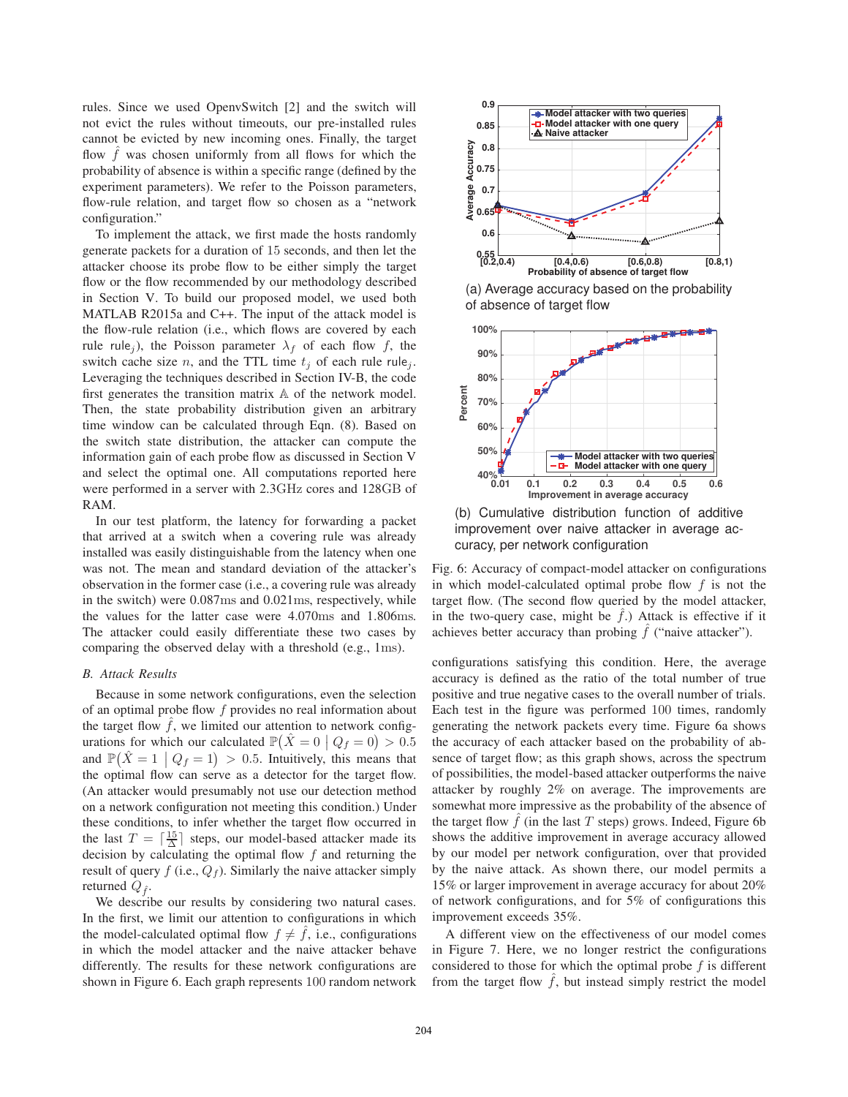rules. Since we used OpenvSwitch [2] and the switch will not evict the rules without timeouts, our pre-installed rules cannot be evicted by new incoming ones. Finally, the target flow  $\hat{f}$  was chosen uniformly from all flows for which the probability of absence is within a specific range (defined by the experiment parameters). We refer to the Poisson parameters, flow-rule relation, and target flow so chosen as a "network configuration."

To implement the attack, we first made the hosts randomly generate packets for a duration of 15 seconds, and then let the attacker choose its probe flow to be either simply the target flow or the flow recommended by our methodology described in Section V. To build our proposed model, we used both MATLAB R2015a and C++. The input of the attack model is the flow-rule relation (i.e., which flows are covered by each rule rule<sub>j</sub>), the Poisson parameter  $\lambda_f$  of each flow f, the switch cache size n, and the TTL time  $t_i$  of each rule rule<sub>j</sub>. Leveraging the techniques described in Section IV-B, the code first generates the transition matrix A of the network model. Then, the state probability distribution given an arbitrary time window can be calculated through Eqn. (8). Based on the switch state distribution, the attacker can compute the information gain of each probe flow as discussed in Section V and select the optimal one. All computations reported here were performed in a server with 2.3GHz cores and 128GB of RAM.

In our test platform, the latency for forwarding a packet that arrived at a switch when a covering rule was already installed was easily distinguishable from the latency when one was not. The mean and standard deviation of the attacker's observation in the former case (i.e., a covering rule was already in the switch) were 0.087ms and 0.021ms, respectively, while the values for the latter case were 4.070ms and 1.806ms. The attacker could easily differentiate these two cases by comparing the observed delay with a threshold (e.g., 1ms).

#### *B. Attack Results*

Because in some network configurations, even the selection of an optimal probe flow  $f$  provides no real information about the target flow  $\hat{f}$ , we limited our attention to network configurations for which our calculated  $\mathbb{P}(\hat{X} = 0 | Q_f = 0) > 0.5$ and  $\mathbb{P}(\hat{X} = 1 \mid Q_f = 1) > 0.5$ . Intuitively, this means that the optimal flow can serve as a detector for the target flow. the optimal flow can serve as a detector for the target flow. (An attacker would presumably not use our detection method on a network configuration not meeting this condition.) Under these conditions, to infer whether the target flow occurred in the last  $T = \left[\frac{15}{\Delta}\right]$  steps, our model-based attacker made its<br>decision by calculating the optimal flow f and returning the decision by calculating the optimal flow  $f$  and returning the result of query  $f$  (i.e.,  $Q_f$ ). Similarly the naive attacker simply returned  $Q_{\hat{f}}$ .

We describe our results by considering two natural cases. In the first, we limit our attention to configurations in which the model-calculated optimal flow  $f \neq f$ , i.e., configurations in which the model attacker and the naive attacker behave differently. The results for these network configurations are shown in Figure 6. Each graph represents 100 random network



(a) Average accuracy based on the probability of absence of target flow



(b) Cumulative distribution function of additive improvement over naive attacker in average accuracy, per network configuration

Fig. 6: Accuracy of compact-model attacker on configurations in which model-calculated optimal probe flow  $f$  is not the target flow. (The second flow queried by the model attacker, in the two-query case, might be  $\hat{f}$ .) Attack is effective if it achieves better accuracy than probing  $\hat{f}$  ("naive attacker").

configurations satisfying this condition. Here, the average accuracy is defined as the ratio of the total number of true positive and true negative cases to the overall number of trials. Each test in the figure was performed 100 times, randomly generating the network packets every time. Figure 6a shows the accuracy of each attacker based on the probability of absence of target flow; as this graph shows, across the spectrum of possibilities, the model-based attacker outperforms the naive attacker by roughly 2% on average. The improvements are somewhat more impressive as the probability of the absence of the target flow  $f$  (in the last  $T$  steps) grows. Indeed, Figure 6b shows the additive improvement in average accuracy allowed by our model per network configuration, over that provided by the naive attack. As shown there, our model permits a 15% or larger improvement in average accuracy for about 20% of network configurations, and for 5% of configurations this improvement exceeds 35%.

A different view on the effectiveness of our model comes in Figure 7. Here, we no longer restrict the configurations considered to those for which the optimal probe  $f$  is different from the target flow  $\hat{f}$ , but instead simply restrict the model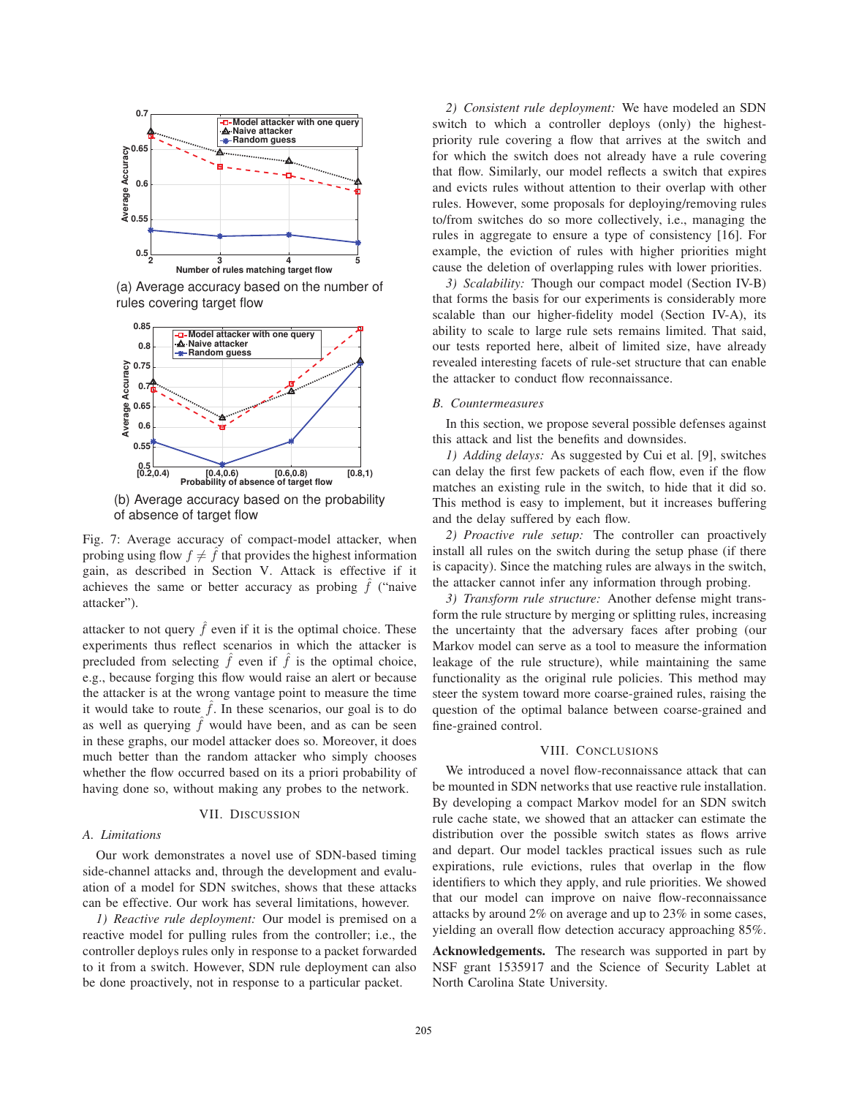

(a) Average accuracy based on the number of rules covering target flow



(b) Average accuracy based on the probability of absence of target flow

Fig. 7: Average accuracy of compact-model attacker, when probing using flow  $f \neq \hat{f}$  that provides the highest information gain, as described in Section V. Attack is effective if it achieves the same or better accuracy as probing  $\hat{f}$  ("naive attacker").

attacker to not query  $\hat{f}$  even if it is the optimal choice. These experiments thus reflect scenarios in which the attacker is precluded from selecting  $\hat{f}$  even if  $\hat{f}$  is the optimal choice, e.g., because forging this flow would raise an alert or because the attacker is at the wrong vantage point to measure the time it would take to route  $\hat{f}$ . In these scenarios, our goal is to do as well as querying  $\hat{f}$  would have been, and as can be seen in these graphs, our model attacker does so. Moreover, it does much better than the random attacker who simply chooses whether the flow occurred based on its a priori probability of having done so, without making any probes to the network.

### VII. DISCUSSION

## *A. Limitations*

Our work demonstrates a novel use of SDN-based timing side-channel attacks and, through the development and evaluation of a model for SDN switches, shows that these attacks can be effective. Our work has several limitations, however.

*1) Reactive rule deployment:* Our model is premised on a reactive model for pulling rules from the controller; i.e., the controller deploys rules only in response to a packet forwarded to it from a switch. However, SDN rule deployment can also be done proactively, not in response to a particular packet.

*2) Consistent rule deployment:* We have modeled an SDN switch to which a controller deploys (only) the highestpriority rule covering a flow that arrives at the switch and for which the switch does not already have a rule covering that flow. Similarly, our model reflects a switch that expires and evicts rules without attention to their overlap with other rules. However, some proposals for deploying/removing rules to/from switches do so more collectively, i.e., managing the rules in aggregate to ensure a type of consistency [16]. For example, the eviction of rules with higher priorities might cause the deletion of overlapping rules with lower priorities.

*3) Scalability:* Though our compact model (Section IV-B) that forms the basis for our experiments is considerably more scalable than our higher-fidelity model (Section IV-A), its ability to scale to large rule sets remains limited. That said, our tests reported here, albeit of limited size, have already revealed interesting facets of rule-set structure that can enable the attacker to conduct flow reconnaissance.

# *B. Countermeasures*

In this section, we propose several possible defenses against this attack and list the benefits and downsides.

*1) Adding delays:* As suggested by Cui et al. [9], switches can delay the first few packets of each flow, even if the flow matches an existing rule in the switch, to hide that it did so. This method is easy to implement, but it increases buffering and the delay suffered by each flow.

*2) Proactive rule setup:* The controller can proactively install all rules on the switch during the setup phase (if there is capacity). Since the matching rules are always in the switch, the attacker cannot infer any information through probing.

*3) Transform rule structure:* Another defense might transform the rule structure by merging or splitting rules, increasing the uncertainty that the adversary faces after probing (our Markov model can serve as a tool to measure the information leakage of the rule structure), while maintaining the same functionality as the original rule policies. This method may steer the system toward more coarse-grained rules, raising the question of the optimal balance between coarse-grained and fine-grained control.

#### VIII. CONCLUSIONS

We introduced a novel flow-reconnaissance attack that can be mounted in SDN networks that use reactive rule installation. By developing a compact Markov model for an SDN switch rule cache state, we showed that an attacker can estimate the distribution over the possible switch states as flows arrive and depart. Our model tackles practical issues such as rule expirations, rule evictions, rules that overlap in the flow identifiers to which they apply, and rule priorities. We showed that our model can improve on naive flow-reconnaissance attacks by around 2% on average and up to 23% in some cases, yielding an overall flow detection accuracy approaching 85%.

**Acknowledgements.** The research was supported in part by NSF grant 1535917 and the Science of Security Lablet at North Carolina State University.